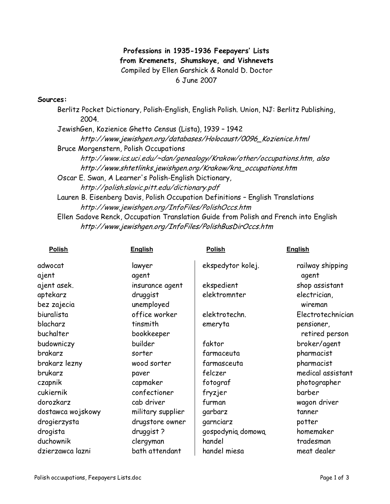## Professions in 1935-1936 Feepayers' Lists from Kremenets, Shumskoye, and Vishnevets Compiled by Ellen Garshick & Ronald D. Doctor 6 June 2007

## Sources:

Berlitz Pocket Dictionary, Polish-English, English Polish. Union, NJ: Berlitz Publishing, 2004. JewishGen, Kozienice Ghetto Census (Lista), 1939 – 1942 http://www.jewishgen.org/databases/Holocaust/0096\_Kozienice.html Bruce Morgenstern, Polish Occupations http://www.ics.uci.edu/~dan/genealogy/Krakow/other/occupations.htm, also http://www.shtetlinks.jewishgen.org/Krakow/kra\_occupations.htm Oscar E. Swan, A Learner's Polish-English Dictionary, http://polish.slavic.pitt.edu/dictionary.pdf Lauren B. Eisenberg Davis, Polish Occupation Definitions – English Translations http://www.jewishgen.org/InfoFiles/PolishOccs.htm Ellen Sadove Renck, Occupation Translation Guide from Polish and French into English http://www.jewishgen.org/InfoFiles/PolishBusDirOccs.htm

| <b>Polish</b>     | <b>English</b>    | <b>Polish</b>     | <b>English</b>            |
|-------------------|-------------------|-------------------|---------------------------|
| adwocat<br>ajent  | lawyer<br>agent   | ekspedytor kolej. | railway shipping<br>agent |
| ajent asek.       | insurance agent   | ekspedient        | shop assistant            |
| aptekarz          | druggist          | elektromnter      | electrician,              |
| bez zajecia       | unemployed        |                   | wireman                   |
| biuralista        | office worker     | elektrotechn.     | Electrotechnician         |
| blacharz          | tinsmith          | emeryta           | pensioner,                |
| buchalter         | bookkeeper        |                   | retired person            |
| budowniczy        | builder           | faktor            | broker/agent              |
| brakarz           | sorter            | farmaceuta        | pharmacist                |
| brakarz lezny     | wood sorter       | farmasceuta       | pharmacist                |
| brukarz           | paver             | felczer           | medical assistant         |
| czapnik           | capmaker          | fotograf          | photographer              |
| cukiernik         | confectioner      | fryzjer           | barber                    |
| dorozkarz         | cab driver        | furman            | wagon driver              |
| dostawca wojskowy | military supplier | garbarz           | tanner                    |
| drogierzysta      | drugstore owner   | garnciarz         | potter                    |
| drogista          | druggist ?        | gospodynią domową | homemaker                 |
| duchownik         | clergyman         | handel            | tradesman                 |
| dzierzawca lazni  | bath attendant    | handel miesa      | meat dealer               |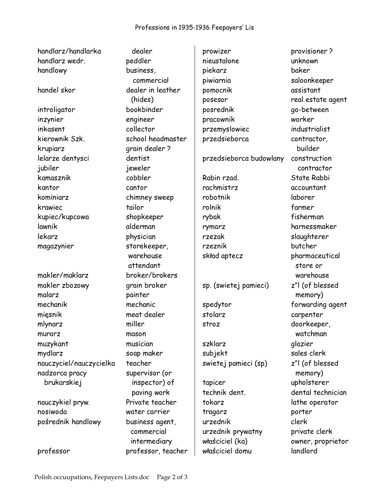| handlarz/handlarka      | dealer            | prowizer                | provisioner?      |
|-------------------------|-------------------|-------------------------|-------------------|
| handlarz wedr.          | peddler           | nieustalone             | unknown           |
| handlowy                | business,         | piekarz                 | baker             |
|                         | commercial        | piwiarnia               | saloonkeeper      |
| handel skor             | dealer in leather | pomocnik                | assistant         |
|                         | (hides)           | posesor                 | real estate agent |
|                         | bookbinder        | posrednik               | go-between        |
| introligator            |                   |                         | worker            |
| inzynier                | engineer          | pracownik               | industrialist     |
| inkasent                | collector         | przemyslowiec           |                   |
| kierownik Szk.          | school headmaster | przedsieborca           | contractor,       |
| krupiarz                | grain dealer ?    |                         | builder           |
| lelarze dentysci        | dentist           | przedsieborca budowlany | construction      |
| jubiler                 | jeweler           |                         | contractor        |
| kamasznik               | cobbler           | Rabin rzad.             | State Rabbi       |
| kantor                  | cantor            | rachmistrz              | accountant        |
| kominiarz               | chimney sweep     | robotnik                | laborer           |
| krawiec                 | tailor            | rolnik                  | farmer            |
| kupiec/kupcowa          | shopkeeper        | rybak                   | fisherman         |
| lawnik                  | alderman          | rymarz                  | harnessmaker      |
| lekarz                  | physician         | rzezak                  | slaughterer       |
| magazynier              | storekeeper,      | rzeznik                 | butcher           |
|                         | warehouse         | skład aptecz            | pharmaceutical    |
|                         | attendant         |                         | store or          |
| makler/maklarz          | broker/brokers    |                         | warehouse         |
| makler zbozowy          | grain broker      | sp. (swietej pamieci)   | z"I (of blessed   |
| malarz                  | painter           |                         | memory)           |
| mechanik                | mechanic          | spedytor                | forwarding agent  |
| mięsnik                 | meat dealer       | stolarz                 | carpenter         |
| mlynarz                 | miller            | stroz                   | doorkeeper,       |
| murarz                  | mason             |                         | watchman          |
| muzykant                | musician          | szklarz                 | glazier           |
| mydlarz                 | soap maker        | subjekt                 | sales clerk       |
| nauczyciel/nauczycielka | teacher           | swietej pamieci (sp)    | z"I (of blessed   |
| nadzorca pracy          | supervisor (or    |                         | memory)           |
| brukarskiej             | inspector) of     | tapicer                 | upholsterer       |
|                         | paving work       | technik dent.           | dental technician |
| nauczykiel pryw.        | Private teacher   | tokarz                  | lathe operator    |
| nosiwoda                | water carrier     | tragarz                 | porter            |
| pośrednik handlowy      | business agent,   | urzednik                | clerk             |
|                         | commercial        | urzednik prywatny       | private clerk     |
|                         | intermediary      | właściciel (ka)         | owner, proprietor |
|                         |                   |                         |                   |